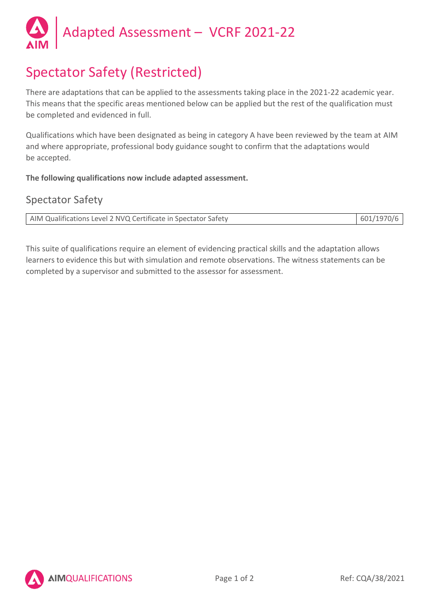

# Spectator Safety (Restricted)

There are adaptations that can be applied to the assessments taking place in the 2021-22 academic year. This means that the specific areas mentioned below can be applied but the rest of the qualification must be completed and evidenced in full.

Qualifications which have been designated as being in category A have been reviewed by the team at AIM and where appropriate, professional body guidance sought to confirm that the adaptations would be accepted.

**The following qualifications now include adapted assessment.**

## Spectator Safety

| AIM Qualifications Level 2 NVQ Certificate in Spectator Safety | 601/1970/6 |
|----------------------------------------------------------------|------------|
|                                                                |            |

This suite of qualifications require an element of evidencing practical skills and the adaptation allows learners to evidence this but with simulation and remote observations. The witness statements can be completed by a supervisor and submitted to the assessor for assessment.